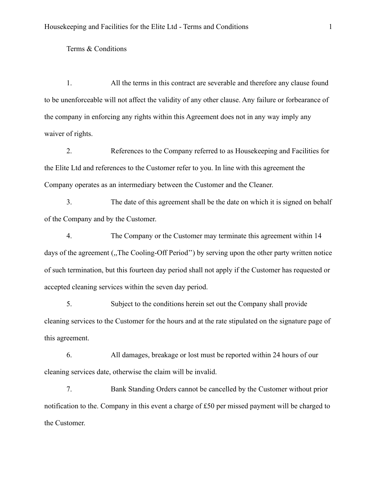## Terms & Conditions

1. All the terms in this contract are severable and therefore any clause found to be unenforceable will not affect the validity of any other clause. Any failure or forbearance of the company in enforcing any rights within this Agreement does not in any way imply any waiver of rights.

2. References to the Company referred to as Housekeeping and Facilities for the Elite Ltd and references to the Customer refer to you. In line with this agreement the Company operates as an intermediary between the Customer and the Cleaner.

3. The date of this agreement shall be the date on which it is signed on behalf of the Company and by the Customer.

4. The Company or the Customer may terminate this agreement within 14 days of the agreement (,,The Cooling-Off Period'') by serving upon the other party written notice of such termination, but this fourteen day period shall not apply if the Customer has requested or accepted cleaning services within the seven day period.

5. Subject to the conditions herein set out the Company shall provide cleaning services to the Customer for the hours and at the rate stipulated on the signature page of this agreement.

6. All damages, breakage or lost must be reported within 24 hours of our cleaning services date, otherwise the claim will be invalid.

7. Bank Standing Orders cannot be cancelled by the Customer without prior notification to the. Company in this event a charge of £50 per missed payment will be charged to the Customer.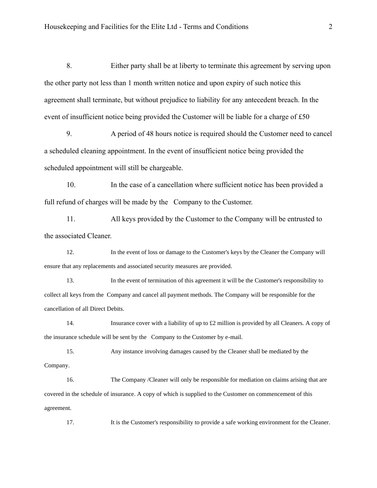8. Either party shall be at liberty to terminate this agreement by serving upon the other party not less than 1 month written notice and upon expiry of such notice this agreement shall terminate, but without prejudice to liability for any antecedent breach. In the event of insufficient notice being provided the Customer will be liable for a charge of £50

9. A period of 48 hours notice is required should the Customer need to cancel a scheduled cleaning appointment. In the event of insufficient notice being provided the scheduled appointment will still be chargeable.

10. In the case of a cancellation where sufficient notice has been provided a full refund of charges will be made by the Company to the Customer.

11. All keys provided by the Customer to the Company will be entrusted to the associated Cleaner.

12. In the event of loss or damage to the Customer's keys by the Cleaner the Company will ensure that any replacements and associated security measures are provided.

13. In the event of termination of this agreement it will be the Customer's responsibility to collect all keys from the Company and cancel all payment methods. The Company will be responsible for the cancellation of all Direct Debits.

14. Insurance cover with a liability of up to £2 million is provided by all Cleaners. A copy of the insurance schedule will be sent by the Company to the Customer by e-mail.

15. Any instance involving damages caused by the Cleaner shall be mediated by the Company.

16. The Company /Cleaner will only be responsible for mediation on claims arising that are covered in the schedule of insurance. A copy of which is supplied to the Customer on commencement of this agreement.

17. It is the Customer's responsibility to provide a safe working environment for the Cleaner.